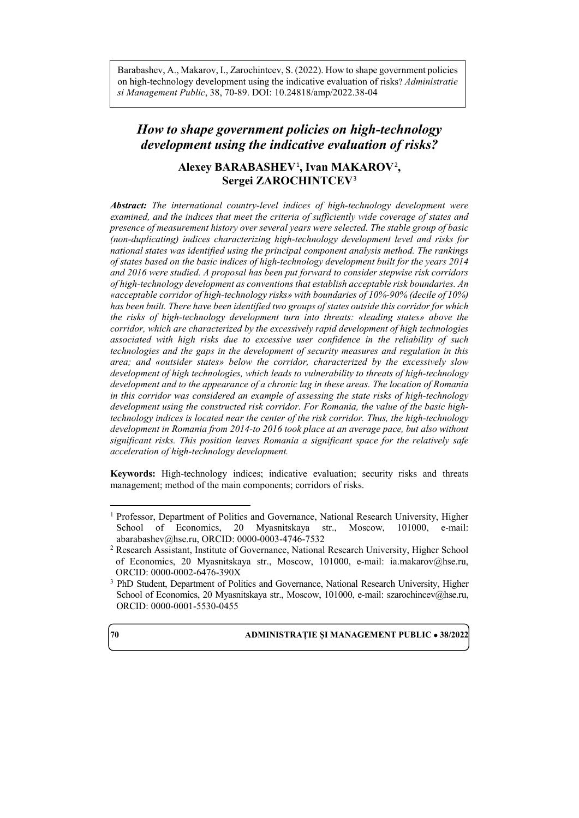Barabashev, A., Makarov, I., Zarochintcev, S. (2022). How to shape government policies on high-technology development using the indicative evaluation of risks? *Administratie si Management Public*, 38, 70-89. DOI: 10.24818/amp/2022.38-04

# *How to shape government policies on high-technology development using the indicative evaluation of risks?*

# **Alexey BARABASHEV**[1](#page-0-0) **, Ivan MAKAROV**[2](#page-0-1) **, Sergei ZAROCHINTCEV**[3](#page-0-2)

*Abstract: The international country-level indices of high-technology development were examined, and the indices that meet the criteria of sufficiently wide coverage of states and presence of measurement history over several years were selected. The stable group of basic (non-duplicating) indices characterizing high-technology development level and risks for national states was identified using the principal component analysis method. The rankings of states based on the basic indices of high-technology development built for the years 2014 and 2016 were studied. A proposal has been put forward to consider stepwise risk corridors of high-technology development as conventions that establish acceptable risk boundaries. An «acceptable corridor of high-technology risks» with boundaries of 10%-90% (decile of 10%) has been built. There have been identified two groups of states outside this corridor for which the risks of high-technology development turn into threats: «leading states» above the corridor, which are characterized by the excessively rapid development of high technologies associated with high risks due to excessive user confidence in the reliability of such technologies and the gaps in the development of security measures and regulation in this area; and «outsider states» below the corridor, characterized by the excessively slow development of high technologies, which leads to vulnerability to threats of high-technology development and to the appearance of a chronic lag in these areas. The location of Romania in this corridor was considered an example of assessing the state risks of high-technology development using the constructed risk corridor. For Romania, the value of the basic hightechnology indices is located near the center of the risk corridor. Thus, the high-technology development in Romania from 2014-to 2016 took place at an average pace, but also without significant risks. This position leaves Romania a significant space for the relatively safe acceleration of high-technology development.*

**Keywords:** High-technology indices; indicative evaluation; security risks and threats management; method of the main components; corridors of risks.

# **70 ADMINISTRAȚIE ȘI MANAGEMENT PUBLIC** • **38/2022**



l

<span id="page-0-0"></span><sup>&</sup>lt;sup>1</sup> Professor, Department of Politics and Governance, National Research University, Higher School of Economics, 20 Myasnitskaya str., Moscow, 101000, e-mail: [abarabashev@hse.ru,](mailto:abarabashev@hse.ru) ORCID: 0000-0003-4746-7532

<span id="page-0-1"></span><sup>2</sup> Research Assistant, Institute of Governance, National Research University, Higher School of Economics, 20 Myasnitskaya str., Moscow, 101000, e-mail: [ia.makarov@hse.ru,](mailto:ia.makarov@hse.ru)  ORCID: 0000-0002-6476-390X

<span id="page-0-2"></span><sup>3</sup> PhD Student, Department of Politics and Governance, National Research University, Higher School of Economics, 20 Myasnitskaya str., Moscow, 101000, e-mail: [szarochincev@hse.ru,](mailto:szarochincev@hse.ru)  ORCID: 0000-0001-5530-0455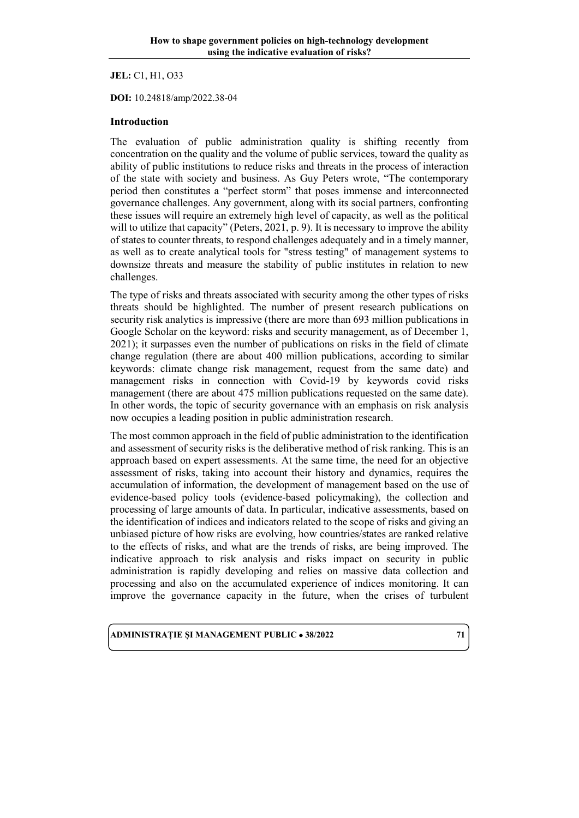**JEL:** C1, H1, O33

**DOI:** 10.24818/amp/2022.38-04

### **Introduction**

The evaluation of public administration quality is shifting recently from concentration on the quality and the volume of public services, toward the quality as ability of public institutions to reduce risks and threats in the process of interaction of the state with society and business. As Guy Peters wrote, "The contemporary period then constitutes a "perfect storm" that poses immense and interconnected governance challenges. Any government, along with its social partners, confronting these issues will require an extremely high level of capacity, as well as the political will to utilize that capacity" (Peters, 2021, p. 9). It is necessary to improve the ability of states to counter threats, to respond challenges adequately and in a timely manner, as well as to create analytical tools for "stress testing" of management systems to downsize threats and measure the stability of public institutes in relation to new challenges.

The type of risks and threats associated with security among the other types of risks threats should be highlighted. The number of present research publications on security risk analytics is impressive (there are more than 693 million publications in Google Scholar on the keyword: risks and security management, as of December 1, 2021); it surpasses even the number of publications on risks in the field of climate change regulation (there are about 400 million publications, according to similar keywords: climate change risk management, request from the same date) and management risks in connection with Covid-19 by keywords covid risks management (there are about 475 million publications requested on the same date). In other words, the topic of security governance with an emphasis on risk analysis now occupies a leading position in public administration research.

The most common approach in the field of public administration to the identification and assessment of security risks is the deliberative method of risk ranking. This is an approach based on expert assessments. At the same time, the need for an objective assessment of risks, taking into account their history and dynamics, requires the accumulation of information, the development of management based on the use of evidence-based policy tools (evidence-based policymaking), the collection and processing of large amounts of data. In particular, indicative assessments, based on the identification of indices and indicators related to the scope of risks and giving an unbiased picture of how risks are evolving, how countries/states are ranked relative to the effects of risks, and what are the trends of risks, are being improved. The indicative approach to risk analysis and risks impact on security in public administration is rapidly developing and relies on massive data collection and processing and also on the accumulated experience of indices monitoring. It can improve the governance capacity in the future, when the crises of turbulent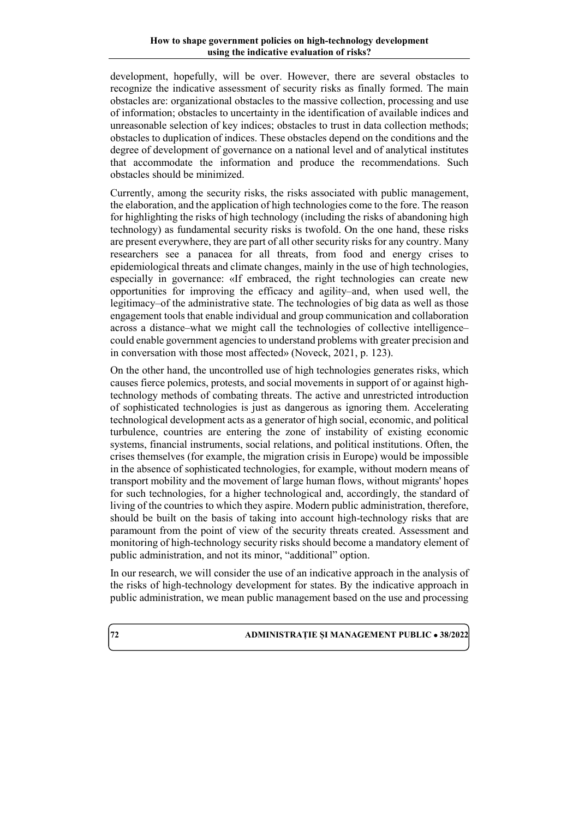development, hopefully, will be over. However, there are several obstacles to recognize the indicative assessment of security risks as finally formed. The main obstacles are: organizational obstacles to the massive collection, processing and use of information; obstacles to uncertainty in the identification of available indices and unreasonable selection of key indices; obstacles to trust in data collection methods; obstacles to duplication of indices. These obstacles depend on the conditions and the degree of development of governance on a national level and of analytical institutes that accommodate the information and produce the recommendations. Such obstacles should be minimized.

Currently, among the security risks, the risks associated with public management, the elaboration, and the application of high technologies come to the fore. The reason for highlighting the risks of high technology (including the risks of abandoning high technology) as fundamental security risks is twofold. On the one hand, these risks are present everywhere, they are part of all other security risks for any country. Many researchers see a panacea for all threats, from food and energy crises to epidemiological threats and climate changes, mainly in the use of high technologies, especially in governance: «If embraced, the right technologies can create new opportunities for improving the efficacy and agility–and, when used well, the legitimacy–of the administrative state. The technologies of big data as well as those engagement tools that enable individual and group communication and collaboration across a distance–what we might call the technologies of collective intelligence– could enable government agencies to understand problems with greater precision and in conversation with those most affected» (Noveck, 2021, p. 123).

On the other hand, the uncontrolled use of high technologies generates risks, which causes fierce polemics, protests, and social movements in support of or against hightechnology methods of combating threats. The active and unrestricted introduction of sophisticated technologies is just as dangerous as ignoring them. Accelerating technological development acts as a generator of high social, economic, and political turbulence, countries are entering the zone of instability of existing economic systems, financial instruments, social relations, and political institutions. Often, the crises themselves (for example, the migration crisis in Europe) would be impossible in the absence of sophisticated technologies, for example, without modern means of transport mobility and the movement of large human flows, without migrants' hopes for such technologies, for a higher technological and, accordingly, the standard of living of the countries to which they aspire. Modern public administration, therefore, should be built on the basis of taking into account high-technology risks that are paramount from the point of view of the security threats created. Assessment and monitoring of high-technology security risks should become a mandatory element of public administration, and not its minor, "additional" option.

In our research, we will consider the use of an indicative approach in the analysis of the risks of high-technology development for states. By the indicative approach in public administration, we mean public management based on the use and processing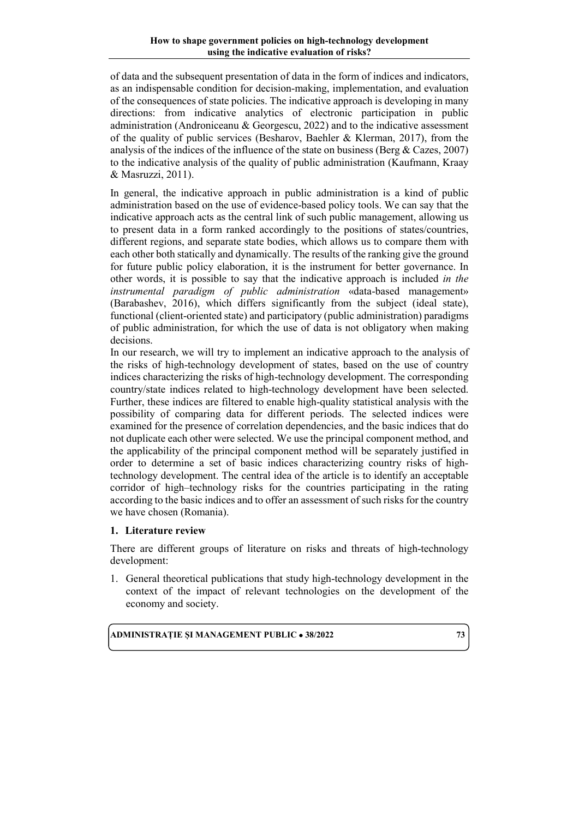of data and the subsequent presentation of data in the form of indices and indicators, as an indispensable condition for decision-making, implementation, and evaluation of the consequences of state policies. The indicative approach is developing in many directions: from indicative analytics of electronic participation in public administration (Androniceanu & Georgescu, 2022) and to the indicative assessment of the quality of public services (Besharov, Baehler & Klerman, 2017), from the analysis of the indices of the influence of the state on business (Berg & Cazes, 2007) to the indicative analysis of the quality of public administration (Kaufmann, Kraay & Masruzzi, 2011).

In general, the indicative approach in public administration is a kind of public administration based on the use of evidence-based policy tools. We can say that the indicative approach acts as the central link of such public management, allowing us to present data in a form ranked accordingly to the positions of states/countries, different regions, and separate state bodies, which allows us to compare them with each other both statically and dynamically. The results of the ranking give the ground for future public policy elaboration, it is the instrument for better governance. In other words, it is possible to say that the indicative approach is included *in the instrumental paradigm of public administration* «data-based management» (Barabashev, 2016), which differs significantly from the subject (ideal state), functional (client-oriented state) and participatory (public administration) paradigms of public administration, for which the use of data is not obligatory when making decisions.

In our research, we will try to implement an indicative approach to the analysis of the risks of high-technology development of states, based on the use of country indices characterizing the risks of high-technology development. The corresponding country/state indices related to high-technology development have been selected. Further, these indices are filtered to enable high-quality statistical analysis with the possibility of comparing data for different periods. The selected indices were examined for the presence of correlation dependencies, and the basic indices that do not duplicate each other were selected. We use the principal component method, and the applicability of the principal component method will be separately justified in order to determine a set of basic indices characterizing country risks of hightechnology development. The central idea of the article is to identify an acceptable corridor of high–technology risks for the countries participating in the rating according to the basic indices and to offer an assessment of such risks for the country we have chosen (Romania).

# **1. Literature review**

There are different groups of literature on risks and threats of high-technology development:

1. General theoretical publications that study high-technology development in the context of the impact of relevant technologies on the development of the economy and society.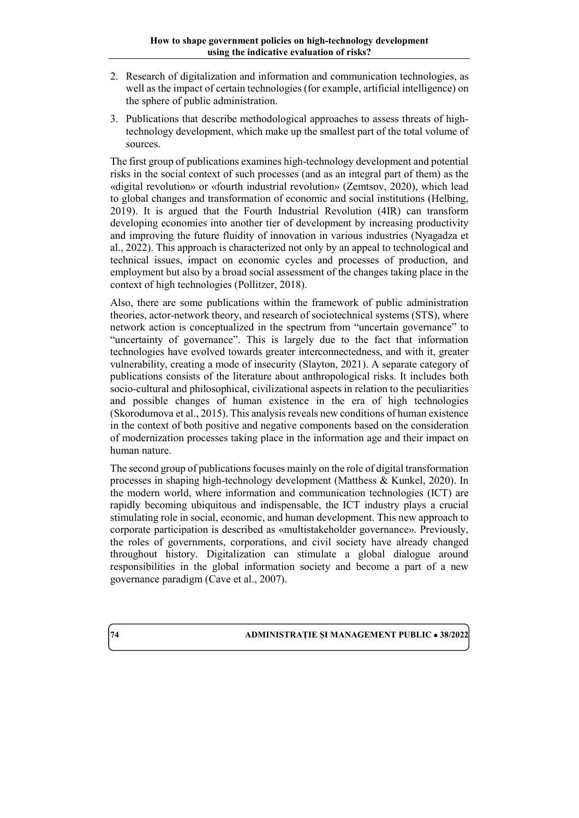- 2. Research of digitalization and information and communication technologies, as well as the impact of certain technologies (for example, artificial intelligence) on the sphere of public administration.
- 3. Publications that describe methodological approaches to assess threats of hightechnology development, which make up the smallest part of the total volume of sources.

The first group of publications examines high-technology development and potential risks in the social context of such processes (and as an integral part of them) as the «digital revolution» or «fourth industrial revolution» (Zemtsov, 2020), which lead to global changes and transformation of economic and social institutions (Helbing, 2019). It is argued that the Fourth Industrial Revolution (4IR) can transform developing economies into another tier of development by increasing productivity and improving the future fluidity of innovation in various industries (Nyagadza et al., 2022). This approach is characterized not only by an appeal to technological and technical issues, impact on economic cycles and processes of production, and employment but also by a broad social assessment of the changes taking place in the context of high technologies (Pollitzer, 2018).

Also, there are some publications within the framework of public administration theories, actor-network theory, and research of sociotechnical systems (STS), where network action is conceptualized in the spectrum from "uncertain governance" to "uncertainty of governance". This is largely due to the fact that information technologies have evolved towards greater interconnectedness, and with it, greater vulnerability, creating a mode of insecurity (Slayton, 2021). A separate category of publications consists of the literature about anthropological risks. It includes both socio-cultural and philosophical, civilizational aspects in relation to the peculiarities and possible changes of human existence in the era of high technologies (Skorodumova et al., 2015). This analysis reveals new conditions of human existence in the context of both positive and negative components based on the consideration of modernization processes taking place in the information age and their impact on human nature.

The second group of publications focuses mainly on the role of digital transformation processes in shaping high-technology development (Matthess & Kunkel, 2020). In the modern world, where information and communication technologies (ICT) are rapidly becoming ubiquitous and indispensable, the ICT industry plays a crucial stimulating role in social, economic, and human development. This new approach to corporate participation is described as «multistakeholder governance». Previously, the roles of governments, corporations, and civil society have already changed throughout history. Digitalization can stimulate a global dialogue around responsibilities in the global information society and become a part of a new governance paradigm (Cave et al., 2007).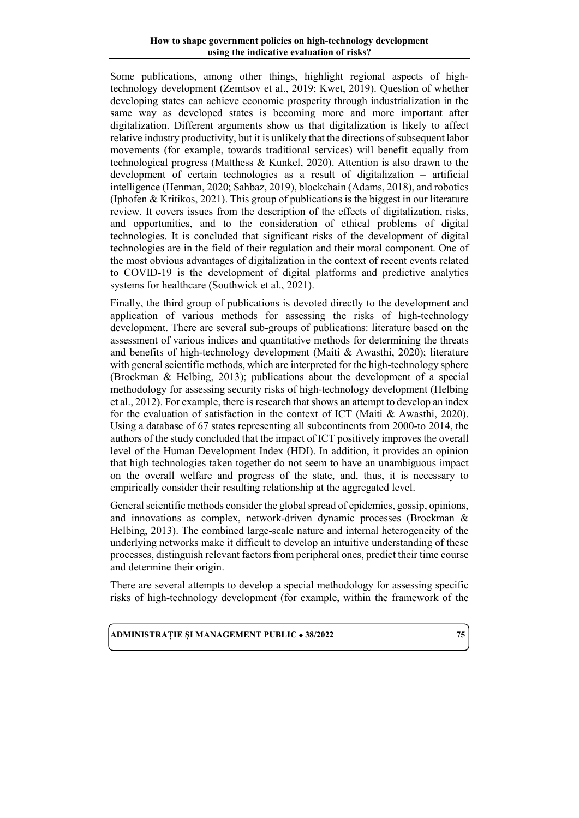#### **How to shape government policies on high-technology development using the indicative evaluation of risks?**

Some publications, among other things, highlight regional aspects of hightechnology development (Zemtsov et al., 2019; Kwet, 2019). Question of whether developing states can achieve economic prosperity through industrialization in the same way as developed states is becoming more and more important after digitalization. Different arguments show us that digitalization is likely to affect relative industry productivity, but it is unlikely that the directions of subsequent labor movements (for example, towards traditional services) will benefit equally from technological progress (Matthess & Kunkel, 2020). Attention is also drawn to the development of certain technologies as a result of digitalization – artificial intelligence (Henman, 2020; Sahbaz, 2019), blockchain (Adams, 2018), and robotics (Iphofen & Kritikos, 2021). This group of publications is the biggest in our literature review. It covers issues from the description of the effects of digitalization, risks, and opportunities, and to the consideration of ethical problems of digital technologies. It is concluded that significant risks of the development of digital technologies are in the field of their regulation and their moral component. One of the most obvious advantages of digitalization in the context of recent events related to COVID-19 is the development of digital platforms and predictive analytics systems for healthcare (Southwick et al., 2021).

Finally, the third group of publications is devoted directly to the development and application of various methods for assessing the risks of high-technology development. There are several sub-groups of publications: literature based on the assessment of various indices and quantitative methods for determining the threats and benefits of high-technology development (Maiti & Awasthi, 2020); literature with general scientific methods, which are interpreted for the high-technology sphere (Brockman & Helbing, 2013); publications about the development of a special methodology for assessing security risks of high-technology development (Helbing et al., 2012). For example, there is research that shows an attempt to develop an index for the evaluation of satisfaction in the context of ICT (Maiti & Awasthi, 2020). Using a database of 67 states representing all subcontinents from 2000-to 2014, the authors of the study concluded that the impact of ICT positively improves the overall level of the Human Development Index (HDI). In addition, it provides an opinion that high technologies taken together do not seem to have an unambiguous impact on the overall welfare and progress of the state, and, thus, it is necessary to empirically consider their resulting relationship at the aggregated level.

General scientific methods consider the global spread of epidemics, gossip, opinions, and innovations as complex, network-driven dynamic processes (Brockman & Helbing, 2013). The combined large-scale nature and internal heterogeneity of the underlying networks make it difficult to develop an intuitive understanding of these processes, distinguish relevant factors from peripheral ones, predict their time course and determine their origin.

There are several attempts to develop a special methodology for assessing specific risks of high-technology development (for example, within the framework of the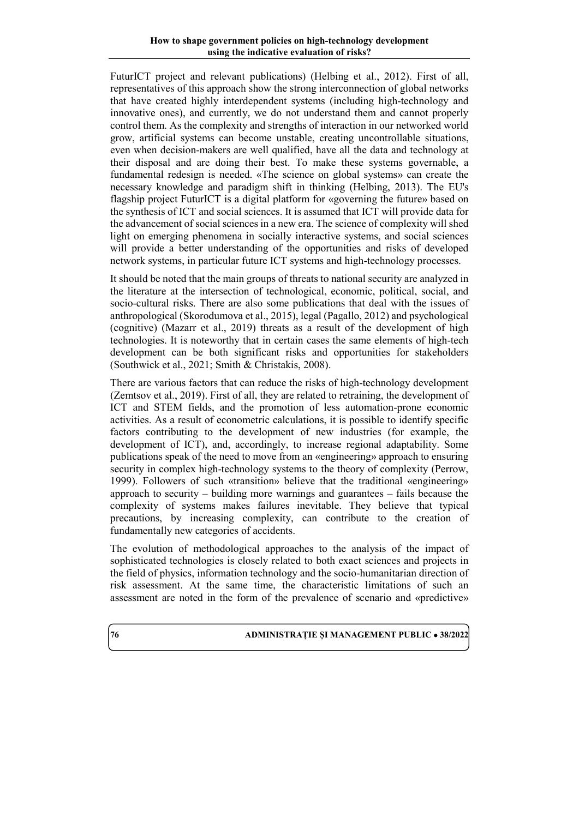FuturICT project and relevant publications) (Helbing et al., 2012). First of all, representatives of this approach show the strong interconnection of global networks that have created highly interdependent systems (including high-technology and innovative ones), and currently, we do not understand them and cannot properly control them. As the complexity and strengths of interaction in our networked world grow, artificial systems can become unstable, creating uncontrollable situations, even when decision-makers are well qualified, have all the data and technology at their disposal and are doing their best. To make these systems governable, a fundamental redesign is needed. «The science on global systems» can create the necessary knowledge and paradigm shift in thinking (Helbing, 2013). The EU's flagship project FuturICT is a digital platform for «governing the future» based on the synthesis of ICT and social sciences. It is assumed that ICT will provide data for the advancement of social sciences in a new era. The science of complexity will shed light on emerging phenomena in socially interactive systems, and social sciences will provide a better understanding of the opportunities and risks of developed network systems, in particular future ICT systems and high-technology processes.

It should be noted that the main groups of threats to national security are analyzed in the literature at the intersection of technological, economic, political, social, and socio-cultural risks. There are also some publications that deal with the issues of anthropological (Skorodumova et al., 2015), legal (Pagallo, 2012) and psychological (cognitive) (Mazarr et al., 2019) threats as a result of the development of high technologies. It is noteworthy that in certain cases the same elements of high-tech development can be both significant risks and opportunities for stakeholders (Southwick et al., 2021; Smith & Christakis, 2008).

There are various factors that can reduce the risks of high-technology development (Zemtsov et al., 2019). First of all, they are related to retraining, the development of ICT and STEM fields, and the promotion of less automation-prone economic activities. As a result of econometric calculations, it is possible to identify specific factors contributing to the development of new industries (for example, the development of ICT), and, accordingly, to increase regional adaptability. Some publications speak of the need to move from an «engineering» approach to ensuring security in complex high-technology systems to the theory of complexity (Perrow, 1999). Followers of such «transition» believe that the traditional «engineering» approach to security – building more warnings and guarantees – fails because the complexity of systems makes failures inevitable. They believe that typical precautions, by increasing complexity, can contribute to the creation of fundamentally new categories of accidents.

The evolution of methodological approaches to the analysis of the impact of sophisticated technologies is closely related to both exact sciences and projects in the field of physics, information technology and the socio-humanitarian direction of risk assessment. At the same time, the characteristic limitations of such an assessment are noted in the form of the prevalence of scenario and «predictive»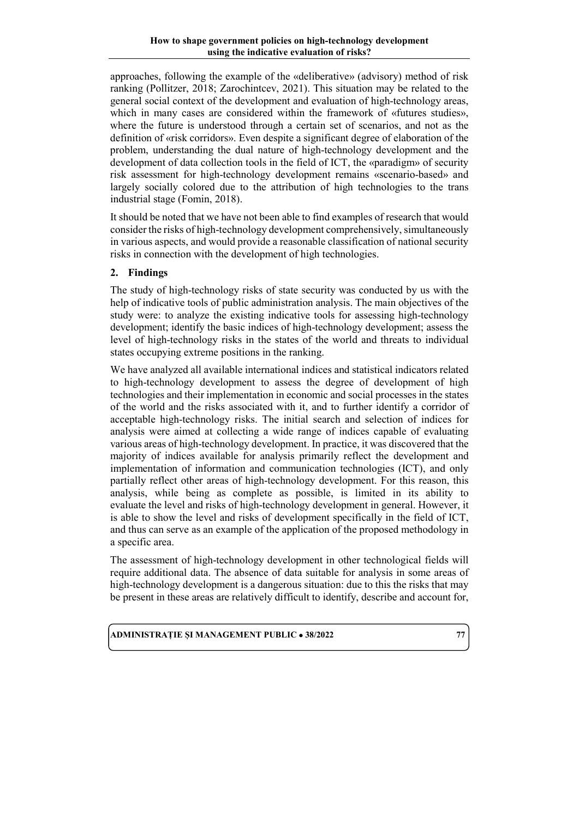approaches, following the example of the «deliberative» (advisory) method of risk ranking (Pollitzer, 2018; Zarochintcev, 2021). This situation may be related to the general social context of the development and evaluation of high-technology areas, which in many cases are considered within the framework of «futures studies», where the future is understood through a certain set of scenarios, and not as the definition of «risk corridors». Even despite a significant degree of elaboration of the problem, understanding the dual nature of high-technology development and the development of data collection tools in the field of ICT, the «paradigm» of security risk assessment for high-technology development remains «scenario-based» and largely socially colored due to the attribution of high technologies to the trans industrial stage (Fomin, 2018).

It should be noted that we have not been able to find examples of research that would consider the risks of high-technology development comprehensively, simultaneously in various aspects, and would provide a reasonable classification of national security risks in connection with the development of high technologies.

# **2. Findings**

The study of high-technology risks of state security was conducted by us with the help of indicative tools of public administration analysis. The main objectives of the study were: to analyze the existing indicative tools for assessing high-technology development; identify the basic indices of high-technology development; assess the level of high-technology risks in the states of the world and threats to individual states occupying extreme positions in the ranking.

We have analyzed all available international indices and statistical indicators related to high-technology development to assess the degree of development of high technologies and their implementation in economic and social processes in the states of the world and the risks associated with it, and to further identify a corridor of acceptable high-technology risks. The initial search and selection of indices for analysis were aimed at collecting a wide range of indices capable of evaluating various areas of high-technology development. In practice, it was discovered that the majority of indices available for analysis primarily reflect the development and implementation of information and communication technologies (ICT), and only partially reflect other areas of high-technology development. For this reason, this analysis, while being as complete as possible, is limited in its ability to evaluate the level and risks of high-technology development in general. However, it is able to show the level and risks of development specifically in the field of ICT, and thus can serve as an example of the application of the proposed methodology in a specific area.

The assessment of high-technology development in other technological fields will require additional data. The absence of data suitable for analysis in some areas of high-technology development is a dangerous situation: due to this the risks that may be present in these areas are relatively difficult to identify, describe and account for,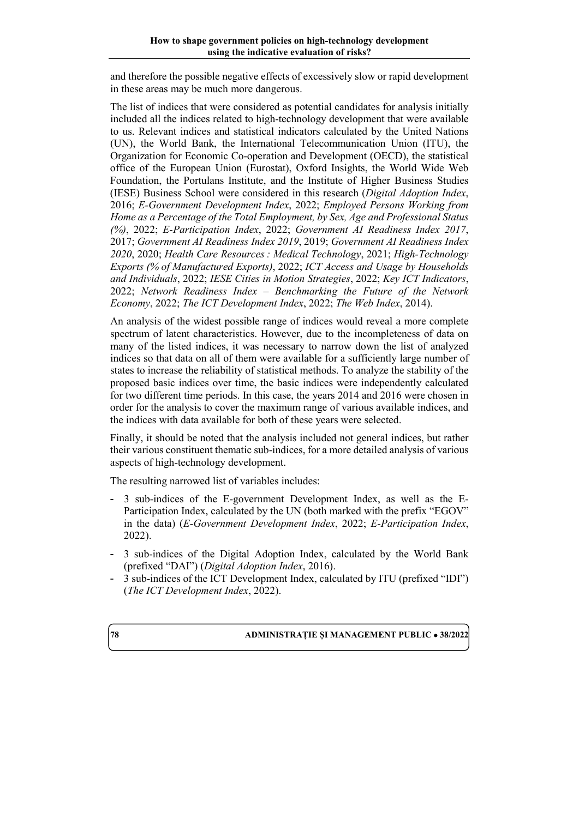and therefore the possible negative effects of excessively slow or rapid development in these areas may be much more dangerous.

The list of indices that were considered as potential candidates for analysis initially included all the indices related to high-technology development that were available to us. Relevant indices and statistical indicators calculated by the United Nations (UN), the World Bank, the International Telecommunication Union (ITU), the Organization for Economic Co-operation and Development (OECD), the statistical office of the European Union (Eurostat), Oxford Insights, the World Wide Web Foundation, the Portulans Institute, and the Institute of Higher Business Studies (IESE) Business School were considered in this research (*Digital Adoption Index*, 2016; *E-Government Development Index*, 2022; *Employed Persons Working from Home as a Percentage of the Total Employment, by Sex, Age and Professional Status (%)*, 2022; *E-Participation Index*, 2022; *Government AI Readiness Index 2017*, 2017; *Government AI Readiness Index 2019*, 2019; *Government AI Readiness Index 2020*, 2020; *Health Care Resources : Medical Technology*, 2021; *High-Technology Exports (% of Manufactured Exports)*, 2022; *ICT Access and Usage by Households and Individuals*, 2022; *IESE Cities in Motion Strategies*, 2022; *Key ICT Indicators*, 2022; *Network Readiness Index – Benchmarking the Future of the Network Economy*, 2022; *The ICT Development Index*, 2022; *The Web Index*, 2014).

An analysis of the widest possible range of indices would reveal a more complete spectrum of latent characteristics. However, due to the incompleteness of data on many of the listed indices, it was necessary to narrow down the list of analyzed indices so that data on all of them were available for a sufficiently large number of states to increase the reliability of statistical methods. To analyze the stability of the proposed basic indices over time, the basic indices were independently calculated for two different time periods. In this case, the years 2014 and 2016 were chosen in order for the analysis to cover the maximum range of various available indices, and the indices with data available for both of these years were selected.

Finally, it should be noted that the analysis included not general indices, but rather their various constituent thematic sub-indices, for a more detailed analysis of various aspects of high-technology development.

The resulting narrowed list of variables includes:

- 3 sub-indices of the E-government Development Index, as well as the E-Participation Index, calculated by the UN (both marked with the prefix "EGOV" in the data) (*E-Government Development Index*, 2022; *E-Participation Index*, 2022).
- 3 sub-indices of the Digital Adoption Index, calculated by the World Bank (prefixed "DAI") (*Digital Adoption Index*, 2016).
- 3 sub-indices of the ICT Development Index, calculated by ITU (prefixed "IDI") (*The ICT Development Index*, 2022).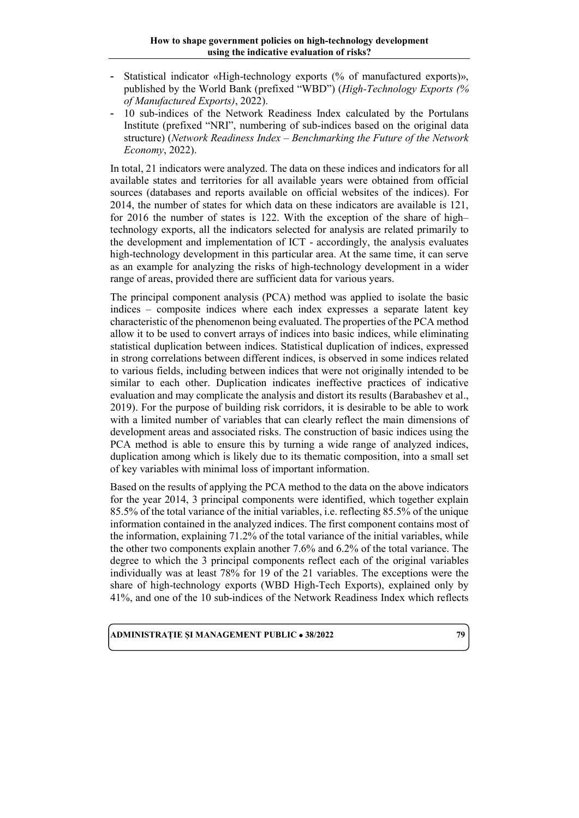- Statistical indicator «High-technology exports (% of manufactured exports)», published by the World Bank (prefixed "WBD") (*High-Technology Exports (% of Manufactured Exports)*, 2022).
- 10 sub-indices of the Network Readiness Index calculated by the Portulans Institute (prefixed "NRI", numbering of sub-indices based on the original data structure) (*Network Readiness Index – Benchmarking the Future of the Network Economy*, 2022).

In total, 21 indicators were analyzed. The data on these indices and indicators for all available states and territories for all available years were obtained from official sources (databases and reports available on official websites of the indices). For 2014, the number of states for which data on these indicators are available is 121, for 2016 the number of states is 122. With the exception of the share of high– technology exports, all the indicators selected for analysis are related primarily to the development and implementation of ICT - accordingly, the analysis evaluates high-technology development in this particular area. At the same time, it can serve as an example for analyzing the risks of high-technology development in a wider range of areas, provided there are sufficient data for various years.

The principal component analysis (PCA) method was applied to isolate the basic indices – composite indices where each index expresses a separate latent key characteristic of the phenomenon being evaluated. The properties of the PCA method allow it to be used to convert arrays of indices into basic indices, while eliminating statistical duplication between indices. Statistical duplication of indices, expressed in strong correlations between different indices, is observed in some indices related to various fields, including between indices that were not originally intended to be similar to each other. Duplication indicates ineffective practices of indicative evaluation and may complicate the analysis and distort its results (Barabashev et al., 2019). For the purpose of building risk corridors, it is desirable to be able to work with a limited number of variables that can clearly reflect the main dimensions of development areas and associated risks. The construction of basic indices using the PCA method is able to ensure this by turning a wide range of analyzed indices, duplication among which is likely due to its thematic composition, into a small set of key variables with minimal loss of important information.

Based on the results of applying the PCA method to the data on the above indicators for the year 2014, 3 principal components were identified, which together explain 85.5% of the total variance of the initial variables, i.e. reflecting 85.5% of the unique information contained in the analyzed indices. The first component contains most of the information, explaining 71.2% of the total variance of the initial variables, while the other two components explain another 7.6% and 6.2% of the total variance. The degree to which the 3 principal components reflect each of the original variables individually was at least 78% for 19 of the 21 variables. The exceptions were the share of high-technology exports (WBD High-Tech Exports), explained only by 41%, and one of the 10 sub-indices of the Network Readiness Index which reflects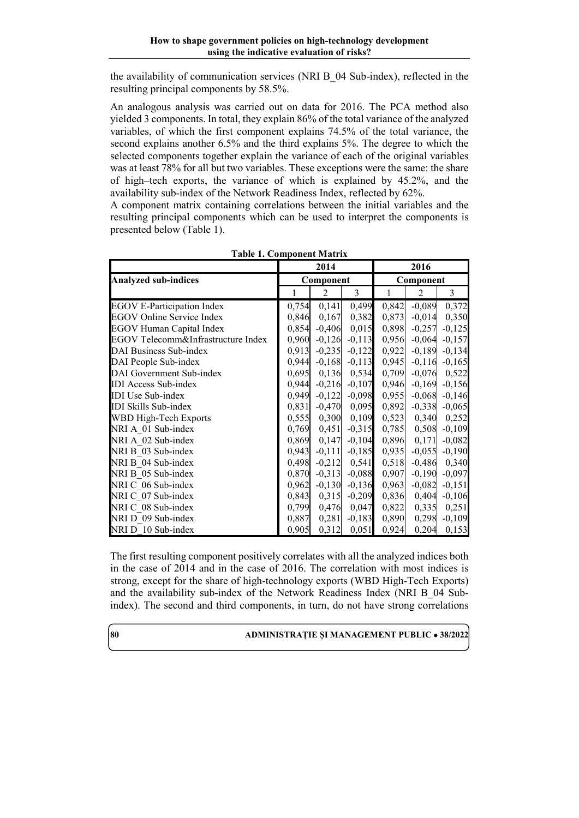the availability of communication services (NRI B\_04 Sub-index), reflected in the resulting principal components by 58.5%.

An analogous analysis was carried out on data for 2016. The PCA method also yielded 3 components. In total, they explain 86% of the total variance of the analyzed variables, of which the first component explains 74.5% of the total variance, the second explains another 6.5% and the third explains 5%. The degree to which the selected components together explain the variance of each of the original variables was at least 78% for all but two variables. These exceptions were the same: the share of high–tech exports, the variance of which is explained by 45.2%, and the availability sub-index of the Network Readiness Index, reflected by 62%.

A component matrix containing correlations between the initial variables and the resulting principal components which can be used to interpret the components is presented below (Table 1).

|                                    | 2014         |                |                | 2016         |                |                   |  |
|------------------------------------|--------------|----------------|----------------|--------------|----------------|-------------------|--|
| <b>Analyzed sub-indices</b>        | Component    |                |                | Component    |                |                   |  |
|                                    | $\mathbf{1}$ | $\overline{2}$ | $\overline{3}$ | $\mathbf{1}$ | $\overline{2}$ | $\overline{3}$    |  |
| <b>EGOV E-Participation Index</b>  | 0,754        | 0,141          | 0,499          | 0,842        | $-0,089$       | 0,372             |  |
| EGOV Online Service Index          | 0,846        | 0,167          | 0,382          | 0,873        | $-0,014$       | 0,350             |  |
| <b>EGOV Human Capital Index</b>    | 0,854        | $-0,406$       | 0,015          | 0,898        | $-0,257$       | $-0,125$          |  |
| EGOV Telecomm&Infrastructure Index | 0,960        | $-0,126$       | $-0,113$       | 0,956        |                | $-0,064$ $-0,157$ |  |
| DAI Business Sub-index             | 0,913        | $-0,235$       | $-0,122$       | 0,922        | $-0,189$       | $-0,134$          |  |
| DAI People Sub-index               | 0,944        | $-0,168$       | $-0,113$       | 0,945        | $-0,116$       | $-0,165$          |  |
| DAI Government Sub-index           | 0,695        | 0,136          | 0,534          | 0,709        | $-0,076$       | 0,522             |  |
| <b>IDI</b> Access Sub-index        | 0,944        | $-0,216$       | $-0,107$       | 0,946        | $-0,169$       | $-0,156$          |  |
| <b>IDI</b> Use Sub-index           | 0,949        | $-0,122$       | $-0,098$       | 0,955        | $-0,068$       | $-0,146$          |  |
| <b>IDI Skills Sub-index</b>        | 0,831        | $-0,470$       | 0,095          | 0,892        | $-0,338$       | $-0,065$          |  |
| WBD High-Tech Exports              | 0,555        | 0,300          | 0,109          | 0,523        | 0,340          | 0,252             |  |
| NRI A 01 Sub-index                 | 0,769        | 0,451          | $-0,315$       | 0,785        | 0,508          | $-0,109$          |  |
| NRI A 02 Sub-index                 | 0,869        | 0,147          | $-0,104$       | 0,896        | 0,171          | $-0,082$          |  |
| NRI B 03 Sub-index                 | 0,943        | $-0,111$       | $-0,185$       | 0,935        |                | $-0,055$ $-0,190$ |  |
| NRI B 04 Sub-index                 | 0,498        | $-0,212$       | 0,541          | 0,518        | $-0,486$       | 0,340             |  |
| NRI B 05 Sub-index                 | 0,870        | $-0,313$       | $-0,088$       | 0,907        | $-0,190$       | $-0,097$          |  |
| NRI C 06 Sub-index                 | 0,962        | $-0,130$       | $-0,136$       | 0,963        | $-0,082$       | $-0,151$          |  |
| NRI C_07 Sub-index                 | 0,843        | 0,315          | $-0,209$       | 0,836        | 0,404          | $-0,106$          |  |
| NRI C 08 Sub-index                 | 0,799        | 0,476          | 0,047          | 0,822        | 0,335          | 0,251             |  |
| NRI D 09 Sub-index                 | 0,887        | 0,281          | $-0,183$       | 0,890        | 0,298          | $-0,109$          |  |
| NRI D 10 Sub-index                 | 0,905        | 0,312          | 0,051          | 0,924        | 0,204          | 0,153             |  |

| <b>Table 1. Component Matrix</b> |  |
|----------------------------------|--|
|----------------------------------|--|

The first resulting component positively correlates with all the analyzed indices both in the case of 2014 and in the case of 2016. The correlation with most indices is strong, except for the share of high-technology exports (WBD High-Tech Exports) and the availability sub-index of the Network Readiness Index (NRI B\_04 Subindex). The second and third components, in turn, do not have strong correlations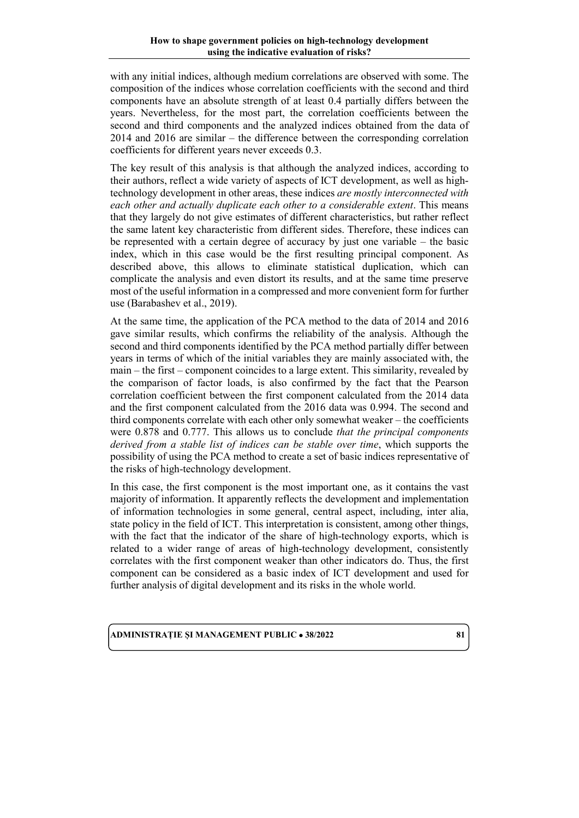with any initial indices, although medium correlations are observed with some. The composition of the indices whose correlation coefficients with the second and third components have an absolute strength of at least 0.4 partially differs between the years. Nevertheless, for the most part, the correlation coefficients between the second and third components and the analyzed indices obtained from the data of 2014 and 2016 are similar – the difference between the corresponding correlation coefficients for different years never exceeds 0.3.

The key result of this analysis is that although the analyzed indices, according to their authors, reflect a wide variety of aspects of ICT development, as well as hightechnology development in other areas, these indices *are mostly interconnected with each other and actually duplicate each other to a considerable extent*. This means that they largely do not give estimates of different characteristics, but rather reflect the same latent key characteristic from different sides. Therefore, these indices can be represented with a certain degree of accuracy by just one variable – the basic index, which in this case would be the first resulting principal component. As described above, this allows to eliminate statistical duplication, which can complicate the analysis and even distort its results, and at the same time preserve most of the useful information in a compressed and more convenient form for further use (Barabashev et al., 2019).

At the same time, the application of the PCA method to the data of 2014 and 2016 gave similar results, which confirms the reliability of the analysis. Although the second and third components identified by the PCA method partially differ between years in terms of which of the initial variables they are mainly associated with, the main – the first – component coincides to a large extent. This similarity, revealed by the comparison of factor loads, is also confirmed by the fact that the Pearson correlation coefficient between the first component calculated from the 2014 data and the first component calculated from the 2016 data was 0.994. The second and third components correlate with each other only somewhat weaker – the coefficients were 0.878 and 0.777. This allows us to conclude *that the principal components derived from a stable list of indices can be stable over time*, which supports the possibility of using the PCA method to create a set of basic indices representative of the risks of high-technology development.

In this case, the first component is the most important one, as it contains the vast majority of information. It apparently reflects the development and implementation of information technologies in some general, central aspect, including, inter alia, state policy in the field of ICT. This interpretation is consistent, among other things, with the fact that the indicator of the share of high-technology exports, which is related to a wider range of areas of high-technology development, consistently correlates with the first component weaker than other indicators do. Thus, the first component can be considered as a basic index of ICT development and used for further analysis of digital development and its risks in the whole world.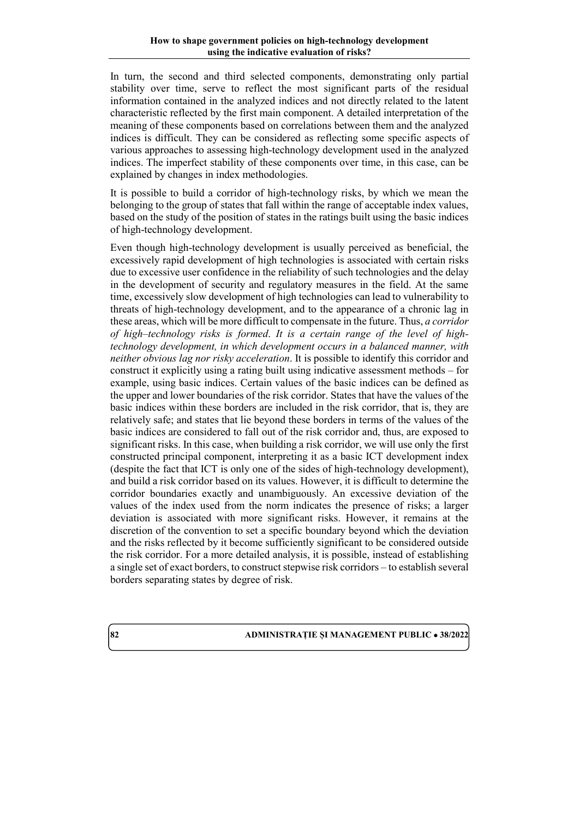In turn, the second and third selected components, demonstrating only partial stability over time, serve to reflect the most significant parts of the residual information contained in the analyzed indices and not directly related to the latent characteristic reflected by the first main component. A detailed interpretation of the meaning of these components based on correlations between them and the analyzed indices is difficult. They can be considered as reflecting some specific aspects of various approaches to assessing high-technology development used in the analyzed indices. The imperfect stability of these components over time, in this case, can be explained by changes in index methodologies.

It is possible to build a corridor of high-technology risks, by which we mean the belonging to the group of states that fall within the range of acceptable index values, based on the study of the position of states in the ratings built using the basic indices of high-technology development.

Even though high-technology development is usually perceived as beneficial, the excessively rapid development of high technologies is associated with certain risks due to excessive user confidence in the reliability of such technologies and the delay in the development of security and regulatory measures in the field. At the same time, excessively slow development of high technologies can lead to vulnerability to threats of high-technology development, and to the appearance of a chronic lag in these areas, which will be more difficult to compensate in the future. Thus, *a corridor of high–technology risks is formed*. *It is a certain range of the level of hightechnology development, in which development occurs in a balanced manner, with neither obvious lag nor risky acceleration*. It is possible to identify this corridor and construct it explicitly using a rating built using indicative assessment methods – for example, using basic indices. Certain values of the basic indices can be defined as the upper and lower boundaries of the risk corridor. States that have the values of the basic indices within these borders are included in the risk corridor, that is, they are relatively safe; and states that lie beyond these borders in terms of the values of the basic indices are considered to fall out of the risk corridor and, thus, are exposed to significant risks. In this case, when building a risk corridor, we will use only the first constructed principal component, interpreting it as a basic ICT development index (despite the fact that ICT is only one of the sides of high-technology development), and build a risk corridor based on its values. However, it is difficult to determine the corridor boundaries exactly and unambiguously. An excessive deviation of the values of the index used from the norm indicates the presence of risks; a larger deviation is associated with more significant risks. However, it remains at the discretion of the convention to set a specific boundary beyond which the deviation and the risks reflected by it become sufficiently significant to be considered outside the risk corridor. For a more detailed analysis, it is possible, instead of establishing a single set of exact borders, to construct stepwise risk corridors – to establish several borders separating states by degree of risk.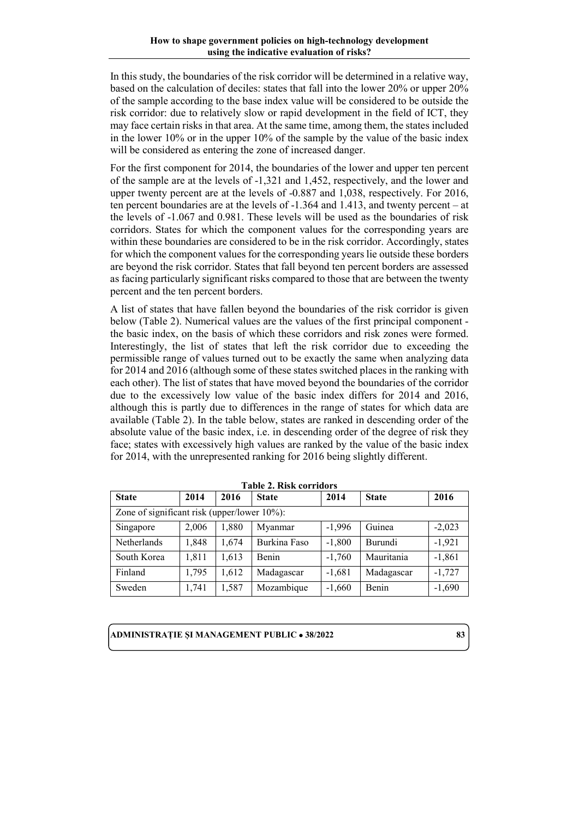In this study, the boundaries of the risk corridor will be determined in a relative way, based on the calculation of deciles: states that fall into the lower 20% or upper 20% of the sample according to the base index value will be considered to be outside the risk corridor: due to relatively slow or rapid development in the field of ICT, they may face certain risks in that area. At the same time, among them, the states included in the lower 10% or in the upper 10% of the sample by the value of the basic index will be considered as entering the zone of increased danger.

For the first component for 2014, the boundaries of the lower and upper ten percent of the sample are at the levels of -1,321 and 1,452, respectively, and the lower and upper twenty percent are at the levels of -0.887 and 1,038, respectively. For 2016, ten percent boundaries are at the levels of -1.364 and 1.413, and twenty percent – at the levels of -1.067 and 0.981. These levels will be used as the boundaries of risk corridors. States for which the component values for the corresponding years are within these boundaries are considered to be in the risk corridor. Accordingly, states for which the component values for the corresponding years lie outside these borders are beyond the risk corridor. States that fall beyond ten percent borders are assessed as facing particularly significant risks compared to those that are between the twenty percent and the ten percent borders.

A list of states that have fallen beyond the boundaries of the risk corridor is given below (Table 2). Numerical values are the values of the first principal component the basic index, on the basis of which these corridors and risk zones were formed. Interestingly, the list of states that left the risk corridor due to exceeding the permissible range of values turned out to be exactly the same when analyzing data for 2014 and 2016 (although some of these states switched places in the ranking with each other). The list of states that have moved beyond the boundaries of the corridor due to the excessively low value of the basic index differs for 2014 and 2016, although this is partly due to differences in the range of states for which data are available (Table 2). In the table below, states are ranked in descending order of the absolute value of the basic index, i.e. in descending order of the degree of risk they face; states with excessively high values are ranked by the value of the basic index for 2014, with the unrepresented ranking for 2016 being slightly different.

| <b>State</b>                                | 2014  | 2016  | <b>State</b> | 2014     | <b>State</b> | 2016     |  |
|---------------------------------------------|-------|-------|--------------|----------|--------------|----------|--|
| Zone of significant risk (upper/lower 10%): |       |       |              |          |              |          |  |
| Singapore                                   | 2,006 | 1,880 | Myanmar      | $-1.996$ | Guinea       | $-2,023$ |  |
| Netherlands                                 | 1,848 | 1,674 | Burkina Faso | $-1,800$ | Burundi      | $-1,921$ |  |
| South Korea                                 | 1,811 | 1,613 | Benin        | $-1,760$ | Mauritania   | $-1,861$ |  |
| Finland                                     | 1,795 | 1,612 | Madagascar   | $-1,681$ | Madagascar   | $-1,727$ |  |
| Sweden                                      | 1,741 | 1,587 | Mozambique   | $-1,660$ | Benin        | $-1,690$ |  |

**Table 2. Risk corridors**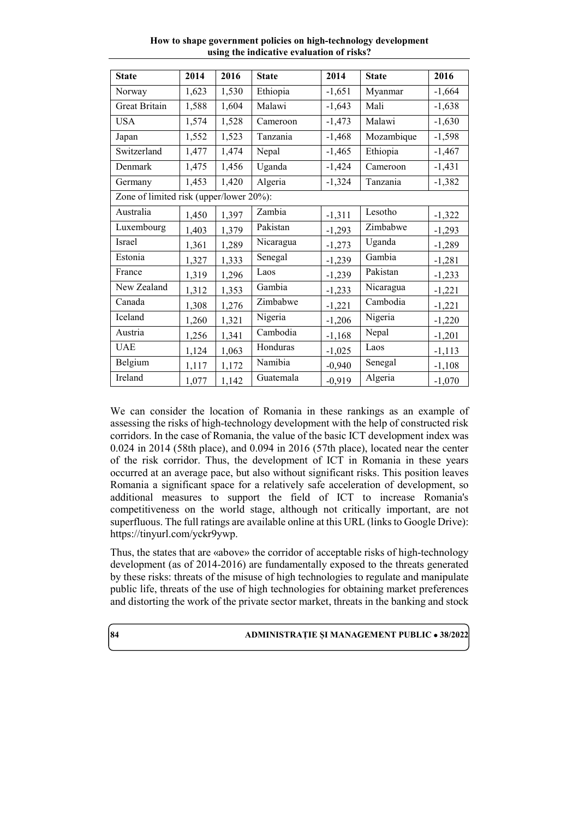| <b>State</b>                            | 2014  | 2016  | <b>State</b> | 2014     | <b>State</b> | 2016     |  |
|-----------------------------------------|-------|-------|--------------|----------|--------------|----------|--|
| Norway                                  | 1,623 | 1,530 | Ethiopia     | $-1,651$ | Myanmar      | $-1,664$ |  |
| Great Britain                           | 1,588 | 1,604 | Malawi       | $-1,643$ | Mali         | $-1,638$ |  |
| <b>USA</b>                              | 1,574 | 1,528 | Cameroon     | $-1,473$ | Malawi       | $-1,630$ |  |
| Japan                                   | 1,552 | 1,523 | Tanzania     | $-1,468$ | Mozambique   | $-1,598$ |  |
| Switzerland                             | 1,477 | 1,474 | Nepal        | $-1,465$ | Ethiopia     | $-1,467$ |  |
| Denmark                                 | 1,475 | 1,456 | Uganda       | $-1,424$ | Cameroon     | $-1,431$ |  |
| Germany                                 | 1,453 | 1,420 | Algeria      | $-1,324$ | Tanzania     | $-1,382$ |  |
| Zone of limited risk (upper/lower 20%): |       |       |              |          |              |          |  |
| Australia                               | 1,450 | 1,397 | Zambia       | $-1,311$ | Lesotho      | $-1,322$ |  |
| Luxembourg                              | 1,403 | 1,379 | Pakistan     | $-1,293$ | Zimbabwe     | $-1,293$ |  |
| Israel                                  | 1,361 | 1,289 | Nicaragua    | $-1,273$ | Uganda       | $-1,289$ |  |
| Estonia                                 | 1,327 | 1,333 | Senegal      | $-1,239$ | Gambia       | $-1,281$ |  |
| France                                  | 1,319 | 1,296 | Laos         | $-1,239$ | Pakistan     | $-1,233$ |  |
| New Zealand                             | 1,312 | 1,353 | Gambia       | $-1,233$ | Nicaragua    | $-1,221$ |  |
| Canada                                  | 1,308 | 1,276 | Zimbabwe     | $-1,221$ | Cambodia     | $-1,221$ |  |
| Iceland                                 | 1,260 | 1,321 | Nigeria      | $-1,206$ | Nigeria      | $-1,220$ |  |
| Austria                                 | 1,256 | 1,341 | Cambodia     | $-1,168$ | Nepal        | $-1,201$ |  |
| <b>UAE</b>                              | 1,124 | 1,063 | Honduras     | $-1,025$ | Laos         | $-1,113$ |  |
| Belgium                                 | 1,117 | 1,172 | Namibia      | $-0,940$ | Senegal      | $-1,108$ |  |
| Ireland                                 | 1,077 | 1,142 | Guatemala    | $-0,919$ | Algeria      | $-1,070$ |  |

**How to shape government policies on high-technology development using the indicative evaluation of risks?**

We can consider the location of Romania in these rankings as an example of assessing the risks of high-technology development with the help of constructed risk corridors. In the case of Romania, the value of the basic ICT development index was 0.024 in 2014 (58th place), and 0.094 in 2016 (57th place), located near the center of the risk corridor. Thus, the development of ICT in Romania in these years occurred at an average pace, but also without significant risks. This position leaves Romania a significant space for a relatively safe acceleration of development, so additional measures to support the field of ICT to increase Romania's competitiveness on the world stage, although not critically important, are not superfluous. The full ratings are available online at this URL (links to Google Drive): [https://tinyurl.com/yckr9ywp.](https://tinyurl.com/yckr9ywp)

Thus, the states that are «above» the corridor of acceptable risks of high-technology development (as of 2014-2016) are fundamentally exposed to the threats generated by these risks: threats of the misuse of high technologies to regulate and manipulate public life, threats of the use of high technologies for obtaining market preferences and distorting the work of the private sector market, threats in the banking and stock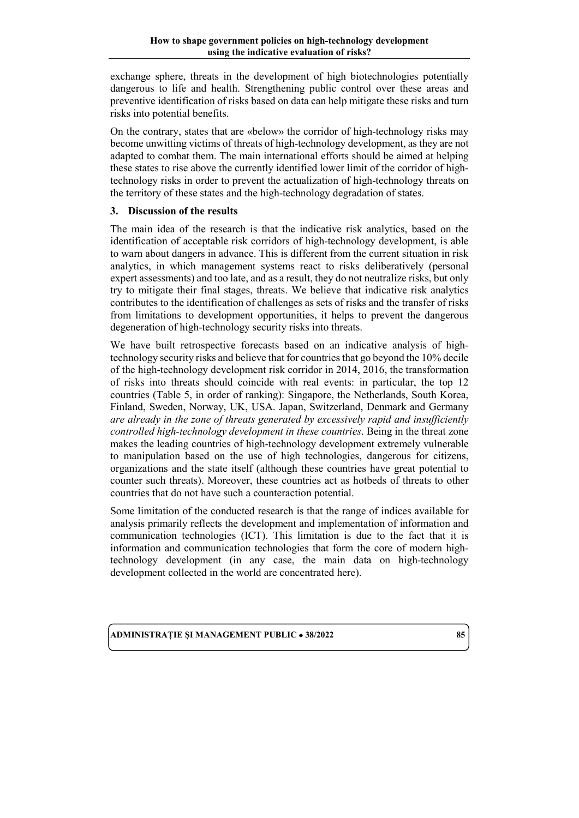exchange sphere, threats in the development of high biotechnologies potentially dangerous to life and health. Strengthening public control over these areas and preventive identification of risks based on data can help mitigate these risks and turn risks into potential benefits.

On the contrary, states that are «below» the corridor of high-technology risks may become unwitting victims of threats of high-technology development, as they are not adapted to combat them. The main international efforts should be aimed at helping these states to rise above the currently identified lower limit of the corridor of hightechnology risks in order to prevent the actualization of high-technology threats on the territory of these states and the high-technology degradation of states.

# **3. Discussion of the results**

The main idea of the research is that the indicative risk analytics, based on the identification of acceptable risk corridors of high-technology development, is able to warn about dangers in advance. This is different from the current situation in risk analytics, in which management systems react to risks deliberatively (personal expert assessments) and too late, and as a result, they do not neutralize risks, but only try to mitigate their final stages, threats. We believe that indicative risk analytics contributes to the identification of challenges as sets of risks and the transfer of risks from limitations to development opportunities, it helps to prevent the dangerous degeneration of high-technology security risks into threats.

We have built retrospective forecasts based on an indicative analysis of hightechnology security risks and believe that for countries that go beyond the 10% decile of the high-technology development risk corridor in 2014, 2016, the transformation of risks into threats should coincide with real events: in particular, the top 12 countries (Table 5, in order of ranking): Singapore, the Netherlands, South Korea, Finland, Sweden, Norway, UK, USA. Japan, Switzerland, Denmark and Germany *are already in the zone of threats generated by excessively rapid and insufficiently controlled high-technology development in these countries*. Being in the threat zone makes the leading countries of high-technology development extremely vulnerable to manipulation based on the use of high technologies, dangerous for citizens, organizations and the state itself (although these countries have great potential to counter such threats). Moreover, these countries act as hotbeds of threats to other countries that do not have such a counteraction potential.

Some limitation of the conducted research is that the range of indices available for analysis primarily reflects the development and implementation of information and communication technologies (ICT). This limitation is due to the fact that it is information and communication technologies that form the core of modern hightechnology development (in any case, the main data on high-technology development collected in the world are concentrated here).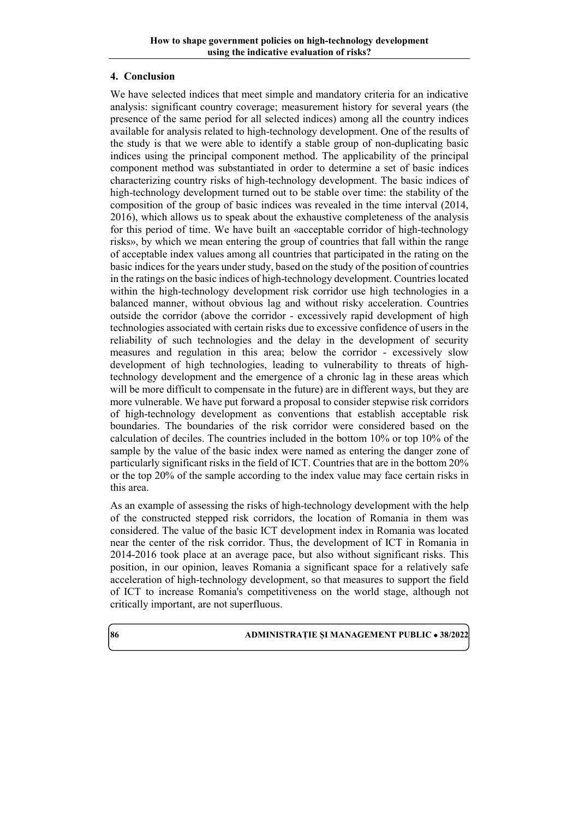### **4. Conclusion**

We have selected indices that meet simple and mandatory criteria for an indicative analysis: significant country coverage; measurement history for several years (the presence of the same period for all selected indices) among all the country indices available for analysis related to high-technology development. One of the results of the study is that we were able to identify a stable group of non-duplicating basic indices using the principal component method. The applicability of the principal component method was substantiated in order to determine a set of basic indices characterizing country risks of high-technology development. The basic indices of high-technology development turned out to be stable over time: the stability of the composition of the group of basic indices was revealed in the time interval (2014, 2016), which allows us to speak about the exhaustive completeness of the analysis for this period of time. We have built an «acceptable corridor of high-technology risks», by which we mean entering the group of countries that fall within the range of acceptable index values among all countries that participated in the rating on the basic indices for the years under study, based on the study of the position of countries in the ratings on the basic indices of high-technology development. Countries located within the high-technology development risk corridor use high technologies in a balanced manner, without obvious lag and without risky acceleration. Countries outside the corridor (above the corridor - excessively rapid development of high technologies associated with certain risks due to excessive confidence of users in the reliability of such technologies and the delay in the development of security measures and regulation in this area; below the corridor - excessively slow development of high technologies, leading to vulnerability to threats of hightechnology development and the emergence of a chronic lag in these areas which will be more difficult to compensate in the future) are in different ways, but they are more vulnerable. We have put forward a proposal to consider stepwise risk corridors of high-technology development as conventions that establish acceptable risk boundaries. The boundaries of the risk corridor were considered based on the calculation of deciles. The countries included in the bottom 10% or top 10% of the sample by the value of the basic index were named as entering the danger zone of particularly significant risks in the field of ICT. Countries that are in the bottom 20% or the top 20% of the sample according to the index value may face certain risks in this area.

As an example of assessing the risks of high-technology development with the help of the constructed stepped risk corridors, the location of Romania in them was considered. The value of the basic ICT development index in Romania was located near the center of the risk corridor. Thus, the development of ICT in Romania in 2014-2016 took place at an average pace, but also without significant risks. This position, in our opinion, leaves Romania a significant space for a relatively safe acceleration of high-technology development, so that measures to support the field of ICT to increase Romania's competitiveness on the world stage, although not critically important, are not superfluous.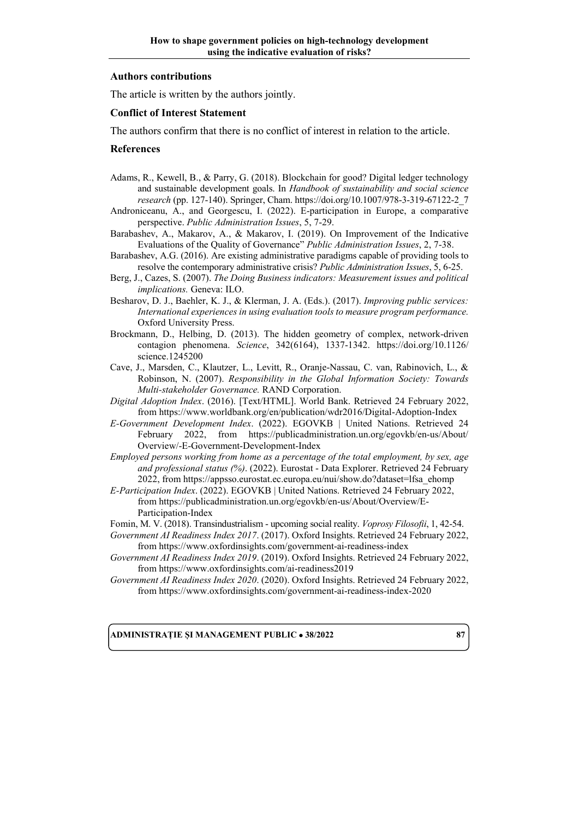#### **Authors contributions**

The article is written by the authors jointly.

#### **Conflict of Interest Statement**

The authors confirm that there is no conflict of interest in relation to the article.

#### **References**

- Adams, R., Kewell, B., & Parry, G. (2018). Blockchain for good? Digital ledger technology and sustainable development goals. In *Handbook of sustainability and social science research* (pp. 127-140). Springer, Cham. [https://doi.org/10.1007/978-3-319-67122-2\\_7](https://doi.org/10.1007/978-3-319-67122-2_7)
- Androniceanu, A., and Georgescu, I. (2022). E-participation in Europe, a comparative perspective. *Public Administration Issues*, 5, 7-29.
- Barabashev, A., Makarov, A., & Makarov, I. (2019). On Improvement of the Indicative Evaluations of the Quality of Governance" *Public Administration Issues*, 2, 7-38.
- Barabashev, A.G. (2016). Are existing administrative paradigms capable of providing tools to resolve the contemporary administrative crisis? *Public Administration Issues*, 5, 6-25.
- Berg, J., Cazes, S. (2007). *The Doing Business indicators: Measurement issues and political implications.* Geneva: ILO.
- Besharov, D. J., Baehler, K. J., & Klerman, J. A. (Eds.). (2017). *Improving public services: International experiences in using evaluation tools to measure program performance.* Oxford University Press.
- Brockmann, D., Helbing, D. (2013). The hidden geometry of complex, network-driven contagion phenomena. *Science*, 342(6164), 1337-1342. [https://doi.org/10.1126/](https://doi.org/10.1126/science.1245200) [science.1245200](https://doi.org/10.1126/science.1245200)
- Cave, J., Marsden, C., Klautzer, L., Levitt, R., Oranje-Nassau, C. van, Rabinovich, L., & Robinson, N. (2007). *Responsibility in the Global Information Society: Towards Multi-stakeholder Governance.* RAND Corporation.
- *Digital Adoption Index*. (2016). [Text/HTML]. World Bank. Retrieved 24 February 2022, fro[m https://www.worldbank.org/en/publication/wdr2016/Digital-Adoption-Index](https://www.worldbank.org/en/publication/wdr2016/Digital-Adoption-Index)
- *E-Government Development Index*. (2022). EGOVKB | United Nations. Retrieved 24 February 2022, from [https://publicadministration.un.org/egovkb/en-us/About/](https://publicadministration.un.org/egovkb/en-us/About/Overview/-E-Government-Development-Index) [Overview/-E-Government-Development-Index](https://publicadministration.un.org/egovkb/en-us/About/Overview/-E-Government-Development-Index)
- *Employed persons working from home as a percentage of the total employment, by sex, age and professional status (%)*. (2022). Eurostat - Data Explorer. Retrieved 24 February 2022, fro[m https://appsso.eurostat.ec.europa.eu/nui/show.do?dataset=lfsa\\_ehomp](https://appsso.eurostat.ec.europa.eu/nui/show.do?dataset=lfsa_ehomp)
- *E-Participation Index*. (2022). EGOVKB | United Nations. Retrieved 24 February 2022, fro[m https://publicadministration.un.org/egovkb/en-us/About/Overview/E-](https://publicadministration.un.org/egovkb/en-us/About/Overview/E-Participation-Index)[Participation-Index](https://publicadministration.un.org/egovkb/en-us/About/Overview/E-Participation-Index)
- Fomin, M. V. (2018). Transindustrialism upcoming social reality. *Voprosy Filosofii*, 1, 42-54.
- *Government AI Readiness Index 2017*. (2017). Oxford Insights. Retrieved 24 February 2022, fro[m https://www.oxfordinsights.com/government-ai-readiness-index](https://www.oxfordinsights.com/government-ai-readiness-index)
- *Government AI Readiness Index 2019*. (2019). Oxford Insights. Retrieved 24 February 2022, fro[m https://www.oxfordinsights.com/ai-readiness2019](https://www.oxfordinsights.com/ai-readiness2019)
- *Government AI Readiness Index 2020*. (2020). Oxford Insights. Retrieved 24 February 2022, fro[m https://www.oxfordinsights.com/government-ai-readiness-index-2020](https://www.oxfordinsights.com/government-ai-readiness-index-2020)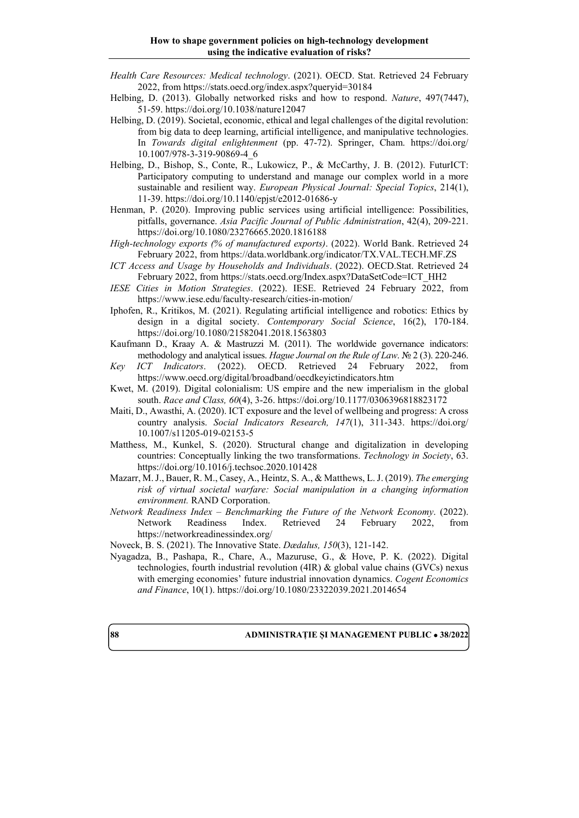- *Health Care Resources: Medical technology*. (2021). OECD. Stat. Retrieved 24 February 2022, fro[m https://stats.oecd.org/index.aspx?queryid=30184](https://stats.oecd.org/index.aspx?queryid=30184)
- Helbing, D. (2013). Globally networked risks and how to respond. *Nature*, 497(7447), 51-59.<https://doi.org/10.1038/nature12047>
- Helbing, D. (2019). Societal, economic, ethical and legal challenges of the digital revolution: from big data to deep learning, artificial intelligence, and manipulative technologies. In *Towards digital enlightenment* (pp. 47-72). Springer, Cham. [https://doi.org/](https://doi.org/10.1007/978-3-319-90869-4_6) [10.1007/978-3-319-90869-4\\_6](https://doi.org/10.1007/978-3-319-90869-4_6)
- Helbing, D., Bishop, S., Conte, R., Lukowicz, P., & McCarthy, J. B. (2012). FuturICT: Participatory computing to understand and manage our complex world in a more sustainable and resilient way. *European Physical Journal: Special Topics*, 214(1), 11-39.<https://doi.org/10.1140/epjst/e2012-01686-y>
- Henman, P. (2020). Improving public services using artificial intelligence: Possibilities, pitfalls, governance. *Asia Pacific Journal of Public Administration*, 42(4), 209-221. <https://doi.org/10.1080/23276665.2020.1816188>
- *High-technology exports (% of manufactured exports)*. (2022). World Bank. Retrieved 24 February 2022, from<https://data.worldbank.org/indicator/TX.VAL.TECH.MF.ZS>
- *ICT Access and Usage by Households and Individuals*. (2022). OECD.Stat. Retrieved 24 February 2022, from [https://stats.oecd.org/Index.aspx?DataSetCode=ICT\\_HH2](https://stats.oecd.org/Index.aspx?DataSetCode=ICT_HH2)
- *IESE Cities in Motion Strategies*. (2022). IESE. Retrieved 24 February 2022, from <https://www.iese.edu/faculty-research/cities-in-motion/>
- Iphofen, R., Kritikos, M. (2021). Regulating artificial intelligence and robotics: Ethics by design in a digital society. *Contemporary Social Science*, 16(2), 170-184. <https://doi.org/10.1080/21582041.2018.1563803>
- Kaufmann D., Kraay A. & Mastruzzi M. (2011). The worldwide governance indicators: methodology and analytical issues. *Hague Journal on the Rule of Law*. № 2 (3). 220-246.
- *Key ICT Indicators*. (2022). OECD. Retrieved 24 February 2022, from <https://www.oecd.org/digital/broadband/oecdkeyictindicators.htm>
- Kwet, M. (2019). Digital colonialism: US empire and the new imperialism in the global south. *Race and Class, 60*(4), 3-26[. https://doi.org/10.1177/0306396818823172](https://doi.org/10.1177/0306396818823172)
- Maiti, D., Awasthi, A. (2020). ICT exposure and the level of wellbeing and progress: A cross country analysis. *Social Indicators Research, 147*(1), 311-343. [https://doi.org/](https://doi.org/10.1007/s11205-019-02153-5) [10.1007/s11205-019-02153-5](https://doi.org/10.1007/s11205-019-02153-5)
- Matthess, M., Kunkel, S. (2020). Structural change and digitalization in developing countries: Conceptually linking the two transformations. *Technology in Society*, 63. <https://doi.org/10.1016/j.techsoc.2020.101428>
- Mazarr, M. J., Bauer, R. M., Casey, A., Heintz, S. A., & Matthews, L. J. (2019). *The emerging risk of virtual societal warfare: Social manipulation in a changing information environment.* RAND Corporation.
- *Network Readiness Index – Benchmarking the Future of the Network Economy*. (2022). Network Readiness Index. Retrieved 24 February 2022, from <https://networkreadinessindex.org/>
- Noveck, B. S. (2021). The Innovative State. *Dædalus, 150*(3), 121-142.
- Nyagadza, B., Pashapa, R., Chare, A., Mazuruse, G., & Hove, P. K. (2022). Digital technologies, fourth industrial revolution (4IR) & global value chains (GVCs) nexus with emerging economies' future industrial innovation dynamics. *Cogent Economics and Finance*, 10(1). <https://doi.org/10.1080/23322039.2021.2014654>